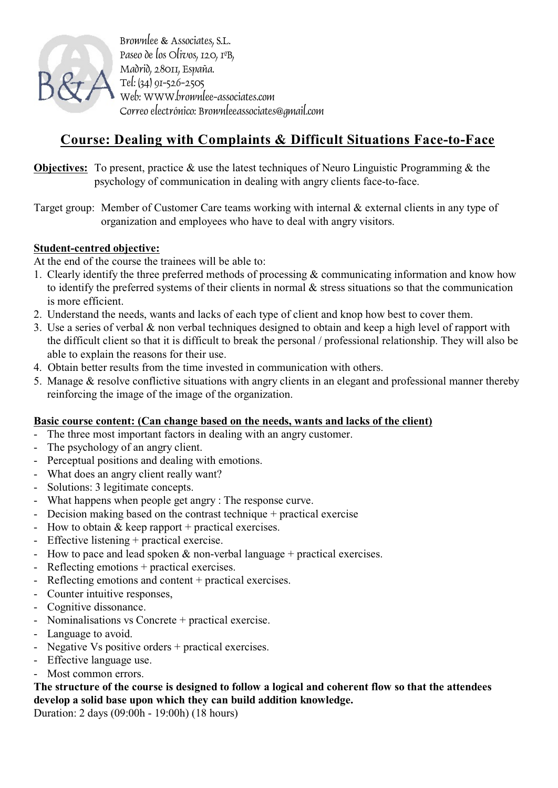

Brownlee & Associates, S.L. Paseo de los Olivos, 120, 1ºB, Madrid, 28011, España. Tel: (34) 91-526-2505 Web: WWW.brownlee-associates.com Correo electrónico: Brownleeassociates@gmail.com

## **Course: Dealing with Complaints & Difficult Situations Face-to-Face**

- **Objectives:** To present, practice & use the latest techniques of Neuro Linguistic Programming & the psychology of communication in dealing with angry clients face-to-face.
- Target group: Member of Customer Care teams working with internal & external clients in any type of organization and employees who have to deal with angry visitors.

## **Student-centred objective:**

At the end of the course the trainees will be able to:

- 1. Clearly identify the three preferred methods of processing & communicating information and know how to identify the preferred systems of their clients in normal & stress situations so that the communication is more efficient.
- 2. Understand the needs, wants and lacks of each type of client and knop how best to cover them.
- 3. Use a series of verbal & non verbal techniques designed to obtain and keep a high level of rapport with the difficult client so that it is difficult to break the personal / professional relationship. They will also be able to explain the reasons for their use.
- 4. Obtain better results from the time invested in communication with others.
- 5. Manage & resolve conflictive situations with angry clients in an elegant and professional manner thereby reinforcing the image of the image of the organization.

## **Basic course content: (Can change based on the needs, wants and lacks of the client)**

- The three most important factors in dealing with an angry customer.
- The psychology of an angry client.
- Perceptual positions and dealing with emotions.
- What does an angry client really want?
- Solutions: 3 legitimate concepts.
- What happens when people get angry : The response curve.
- Decision making based on the contrast technique + practical exercise
- How to obtain  $&$  keep rapport + practical exercises.
- Effective listening + practical exercise.
- How to pace and lead spoken  $\&$  non-verbal language + practical exercises.
- Reflecting emotions + practical exercises.
- Reflecting emotions and content + practical exercises.
- Counter intuitive responses,
- Cognitive dissonance.
- Nominalisations vs Concrete + practical exercise.
- Language to avoid.
- Negative Vs positive orders + practical exercises.
- Effective language use.
- Most common errors.

## **The structure of the course is designed to follow a logical and coherent flow so that the attendees develop a solid base upon which they can build addition knowledge.**

Duration: 2 days (09:00h - 19:00h) (18 hours)